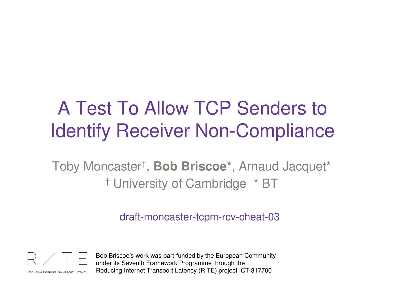## A Test To Allow TCP Senders to Identify Receiver Non-Compliance

Toby Moncaster† , **Bob Briscoe\***, Arnaud Jacquet\*† University of Cambridge \* BT

draft-moncaster-tcpm-rcv-cheat-03



REDUCING INTERNET TRANSPORT LATENCY

Bob Briscoe's work was part-funded by the European Community under its Seventh Framework Programme through the Reducing Internet Transport Latency (RITE) project ICT-317700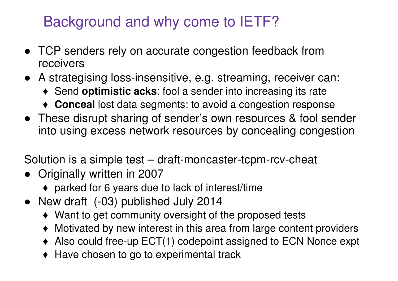#### Background and why come to IETF?

- TCP senders rely on accurate congestion feedback from receivers
- A strategising loss-insensitive, e.g. streaming, receiver can:
	- ♦ Send **optimistic acks**: fool a sender into increasing its rate
	- ♦ **Conceal** lost data segments: to avoid a congestion response
- These disrupt sharing of sender's own resources & fool sender into using excess network resources by concealing congestion

Solution is a simple test – draft-moncaster-tcpm-rcv-cheat

- Originally written in 2007
	- ♦ parked for 6 years due to lack of interest/time
- New draft (-03) published July 2014
	- ♦ Want to get community oversight of the proposed tests
	- ♦ Motivated by new interest in this area from large content providers
	- ♦ Also could free-up ECT(1) codepoint assigned to ECN Nonce expt
	- $\blacklozenge$  Have chosen to go to experimental track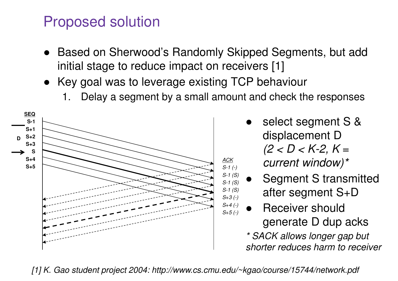#### Proposed solution

- Based on Sherwood's Randomly Skipped Segments, but add initial stage to reduce impact on receivers [1]
- Key goal was to leverage existing TCP behaviour
	- Delay a segment by a small amount and check the responses



- ● select segment S & displacement D *(2 < D < K-2, K = current window)\**
- ● Segment S transmitted after segment S+D
- ● Receiver should generate D dup acks

 *\* SACK allows longer gap but shorter reduces harm to receiver*

*[1] K. Gao student project 2004: http://www.cs.cmu.edu/~kgao/course/15744/network.pdf*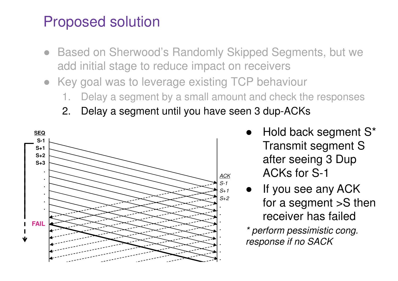#### Proposed solution

- ● Based on Sherwood's Randomly Skipped Segments, but we add initial stage to reduce impact on receivers
- Key goal was to leverage existing TCP behaviour
	- Delay a segment by a small amount and check the responses
	- 2. Delay a segment until you have seen 3 dup-ACKs



- ● Hold back segment S\* Transmit segment S after seeing 3 Dup ACKs for S-1
- If you see any ACK for a segment >S then receiver has failed

 *\* perform pessimistic cong. response if no SACK*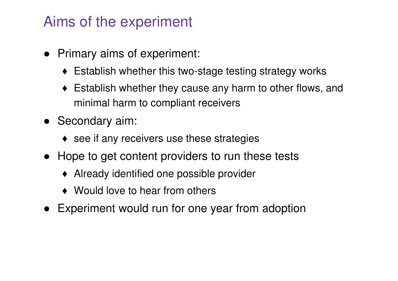#### Aims of the experiment

- Primary aims of experiment:
	- ♦ Establish whether this two-stage testing strategy works
	- ♦ Establish whether they cause any harm to other flows, and minimal harm to compliant receivers
- Secondary aim:
	- $\bullet$  see if any receivers use these strategies
- Hope to get content providers to run these tests
	- ♦ Already identified one possible provider
	- ◆ Would love to hear from others
- ●Experiment would run for one year from adoption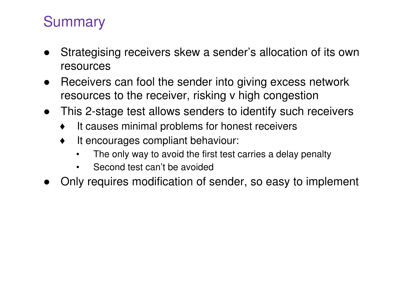### **Summary**

- $\bullet$  Strategising receivers skew a sender's allocation of its own resources
- $\bullet$  Receivers can fool the sender into giving excess network resources to the receiver, risking v high congestion
- This 2-stage test allows senders to identify such receivers
	- ♦It causes minimal problems for honest receivers
	- ♦It encourages compliant behaviour:
		- •The only way to avoid the first test carries a delay penalty
		- $\bullet$ Second test can't be avoided
- ●Only requires modification of sender, so easy to implement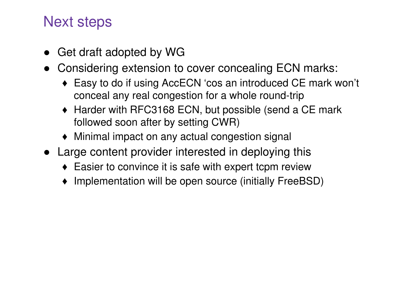#### Next steps

- $\bullet$ Get draft adopted by WG
- Considering extension to cover concealing ECN marks:
	- ♦ Easy to do if using AccECN 'cos an introduced CE mark won't conceal any real congestion for a whole round-trip
	- ♦ Harder with RFC3168 ECN, but possible (send a CE mark followed soon after by setting CWR)
	- ♦ Minimal impact on any actual congestion signal
- Large content provider interested in deploying this
	- ♦ Easier to convince it is safe with expert tcpm review
	- ♦ Implementation will be open source (initially FreeBSD)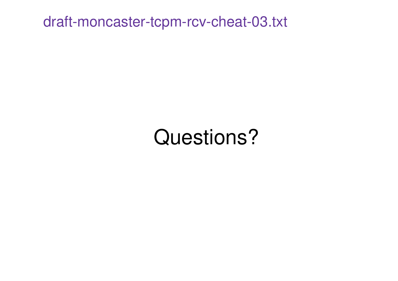draft-moncaster-tcpm-rcv-cheat-03.txt

# Questions?